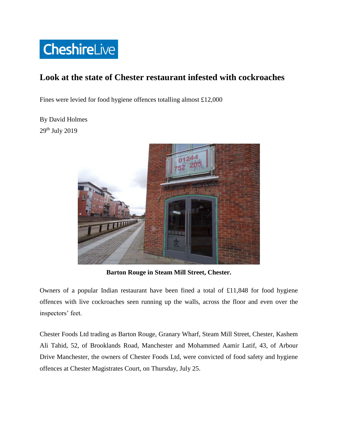

## **Look at the state of Chester restaurant infested with cockroaches**

Fines were levied for food hygiene offences totalling almost £12,000

By David Holmes 29th July 2019



**Barton Rouge in Steam Mill Street, Chester.**

Owners of a popular Indian restaurant have been fined a total of £11,848 for food hygiene offences with live cockroaches seen running up the walls, across the floor and even over the inspectors' feet.

Chester Foods Ltd trading as Barton Rouge, Granary Wharf, Steam Mill Street, Chester, Kashem Ali Tahid, 52, of Brooklands Road, Manchester and Mohammed Aamir Latif, 43, of Arbour Drive Manchester, the owners of Chester Foods Ltd, were convicted of food safety and hygiene offences at Chester Magistrates Court, on Thursday, July 25.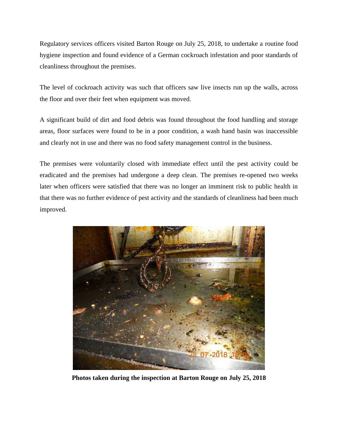Regulatory services officers visited Barton Rouge on July 25, 2018, to undertake a routine food hygiene inspection and found evidence of a German cockroach infestation and poor standards of cleanliness throughout the premises.

The level of cockroach activity was such that officers saw live insects run up the walls, across the floor and over their feet when equipment was moved.

A significant build of dirt and food debris was found throughout the food handling and storage areas, floor surfaces were found to be in a poor condition, a wash hand basin was inaccessible and clearly not in use and there was no food safety management control in the business.

The premises were voluntarily closed with immediate effect until the pest activity could be eradicated and the premises had undergone a deep clean. The premises re-opened two weeks later when officers were satisfied that there was no longer an imminent risk to public health in that there was no further evidence of pest activity and the standards of cleanliness had been much improved.



**Photos taken during the inspection at Barton Rouge on July 25, 2018**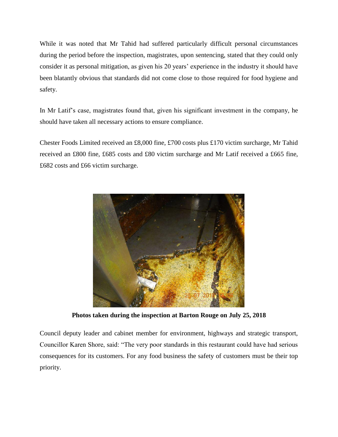While it was noted that Mr Tahid had suffered particularly difficult personal circumstances during the period before the inspection, magistrates, upon sentencing, stated that they could only consider it as personal mitigation, as given his 20 years' experience in the industry it should have been blatantly obvious that standards did not come close to those required for food hygiene and safety.

In Mr Latif's case, magistrates found that, given his significant investment in the company, he should have taken all necessary actions to ensure compliance.

Chester Foods Limited received an £8,000 fine, £700 costs plus £170 victim surcharge, Mr Tahid received an £800 fine, £685 costs and £80 victim surcharge and Mr Latif received a £665 fine, £682 costs and £66 victim surcharge.



**Photos taken during the inspection at Barton Rouge on July 25, 2018**

Council deputy leader and cabinet member for environment, highways and strategic transport, Councillor Karen Shore, said: "The very poor standards in this restaurant could have had serious consequences for its customers. For any food business the safety of customers must be their top priority.